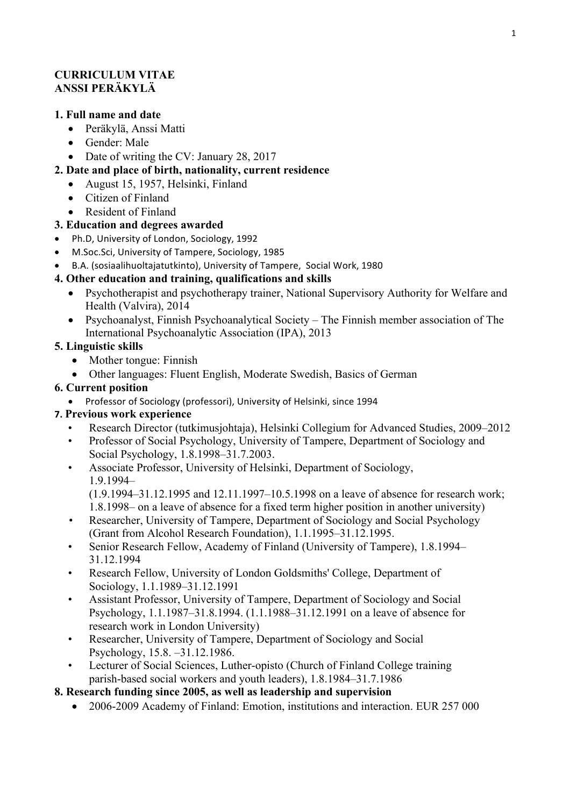#### **CURRICULUM VITAE ANSSI PERÄKYLÄ**

#### **1. Full name and date**

- Peräkylä, Anssi Matti
- Gender: Male
- Date of writing the CV: January 28, 2017

### **2. Date and place of birth, nationality, current residence**

- August 15, 1957, Helsinki, Finland
- Citizen of Finland
- Resident of Finland

#### **3. Education and degrees awarded**

- Ph.D. University of London, Sociology, 1992
- M.Soc.Sci, University of Tampere, Sociology, 1985
- B.A. (sosiaalihuoltajatutkinto), University of Tampere, Social Work, 1980

#### **4. Other education and training, qualifications and skills**

- Psychotherapist and psychotherapy trainer, National Supervisory Authority for Welfare and Health (Valvira), 2014
- Psychoanalyst, Finnish Psychoanalytical Society The Finnish member association of The International Psychoanalytic Association (IPA), 2013

#### **5. Linguistic skills**

- Mother tongue: Finnish
- Other languages: Fluent English, Moderate Swedish, Basics of German

#### **6. Current position**

• Professor of Sociology (professori), University of Helsinki, since 1994

# **7. Previous work experience**

- Research Director (tutkimusjohtaja), Helsinki Collegium for Advanced Studies, 2009–2012
- Professor of Social Psychology, University of Tampere, Department of Sociology and Social Psychology, 1.8.1998–31.7.2003.
- Associate Professor, University of Helsinki, Department of Sociology, 1.9.1994–
	- (1.9.1994–31.12.1995 and 12.11.1997–10.5.1998 on a leave of absence for research work;

1.8.1998– on a leave of absence for a fixed term higher position in another university)

- Researcher, University of Tampere, Department of Sociology and Social Psychology (Grant from Alcohol Research Foundation), 1.1.1995–31.12.1995.
- Senior Research Fellow, Academy of Finland (University of Tampere), 1.8.1994– 31.12.1994
- Research Fellow, University of London Goldsmiths' College, Department of Sociology, 1.1.1989–31.12.1991
- Assistant Professor, University of Tampere, Department of Sociology and Social Psychology, 1.1.1987–31.8.1994. (1.1.1988–31.12.1991 on a leave of absence for research work in London University)
- Researcher, University of Tampere, Department of Sociology and Social Psychology, 15.8. –31.12.1986.
- Lecturer of Social Sciences, Luther-opisto (Church of Finland College training parish-based social workers and youth leaders), 1.8.1984–31.7.1986
- **8. Research funding since 2005, as well as leadership and supervision** 
	- 2006-2009 Academy of Finland: Emotion, institutions and interaction. EUR 257 000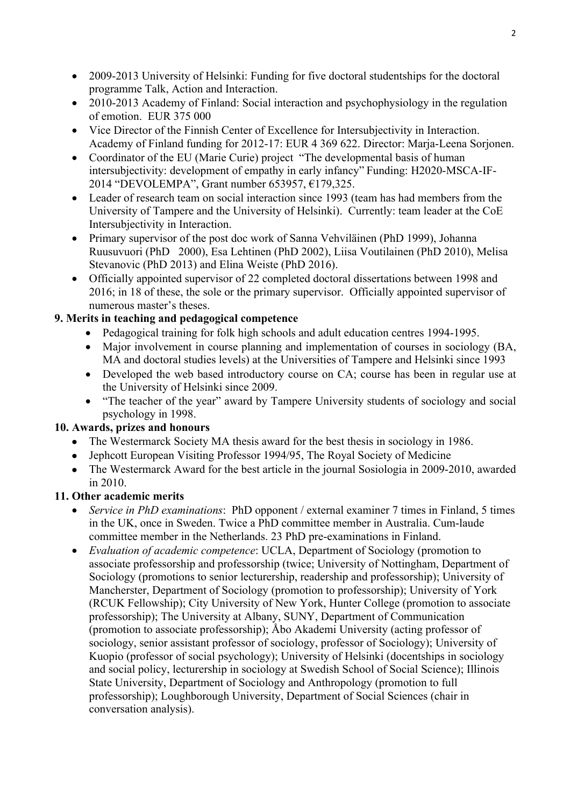- 2009-2013 University of Helsinki: Funding for five doctoral studentships for the doctoral programme Talk, Action and Interaction.
- 2010-2013 Academy of Finland: Social interaction and psychophysiology in the regulation of emotion. EUR 375 000
- Vice Director of the Finnish Center of Excellence for Intersubjectivity in Interaction. Academy of Finland funding for 2012-17: EUR 4 369 622. Director: Marja-Leena Sorjonen.
- Coordinator of the EU (Marie Curie) project "The developmental basis of human intersubjectivity: development of empathy in early infancy" Funding: H2020-MSCA-IF-2014 "DEVOLEMPA", Grant number 653957, €179,325.
- Leader of research team on social interaction since 1993 (team has had members from the University of Tampere and the University of Helsinki). Currently: team leader at the CoE Intersubjectivity in Interaction.
- Primary supervisor of the post doc work of Sanna Vehviläinen (PhD 1999), Johanna Ruusuvuori (PhD 2000), Esa Lehtinen (PhD 2002), Liisa Voutilainen (PhD 2010), Melisa Stevanovic (PhD 2013) and Elina Weiste (PhD 2016).
- Officially appointed supervisor of 22 completed doctoral dissertations between 1998 and 2016; in 18 of these, the sole or the primary supervisor. Officially appointed supervisor of numerous master's theses.

# **9. Merits in teaching and pedagogical competence**

- Pedagogical training for folk high schools and adult education centres 1994-1995.
- Major involvement in course planning and implementation of courses in sociology (BA, MA and doctoral studies levels) at the Universities of Tampere and Helsinki since 1993
- Developed the web based introductory course on CA; course has been in regular use at the University of Helsinki since 2009.
- "The teacher of the year" award by Tampere University students of sociology and social psychology in 1998.

# **10. Awards, prizes and honours**

- The Westermarck Society MA thesis award for the best thesis in sociology in 1986.
- Jephcott European Visiting Professor 1994/95, The Royal Society of Medicine
- The Westermarck Award for the best article in the journal Sosiologia in 2009-2010, awarded in 2010.

# **11. Other academic merits**

- *Service in PhD examinations*: PhD opponent / external examiner 7 times in Finland, 5 times in the UK, once in Sweden. Twice a PhD committee member in Australia. Cum-laude committee member in the Netherlands. 23 PhD pre-examinations in Finland.
- *Evaluation of academic competence*: UCLA, Department of Sociology (promotion to associate professorship and professorship (twice; University of Nottingham, Department of Sociology (promotions to senior lecturership, readership and professorship); University of Mancherster, Department of Sociology (promotion to professorship); University of York (RCUK Fellowship); City University of New York, Hunter College (promotion to associate professorship); The University at Albany, SUNY, Department of Communication (promotion to associate professorship); Åbo Akademi University (acting professor of sociology, senior assistant professor of sociology, professor of Sociology); University of Kuopio (professor of social psychology); University of Helsinki (docentships in sociology and social policy, lecturership in sociology at Swedish School of Social Science); Illinois State University, Department of Sociology and Anthropology (promotion to full professorship); Loughborough University, Department of Social Sciences (chair in conversation analysis).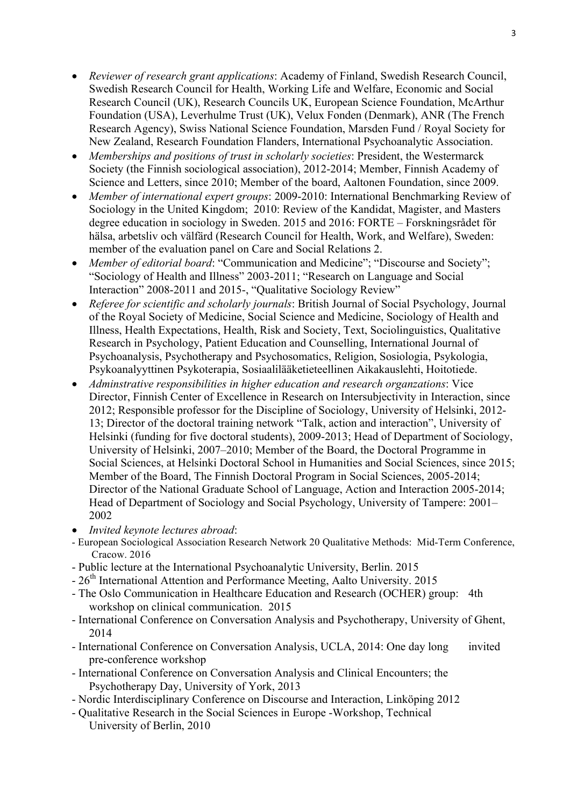- *Reviewer of research grant applications*: Academy of Finland, Swedish Research Council, Swedish Research Council for Health, Working Life and Welfare, Economic and Social Research Council (UK), Research Councils UK, European Science Foundation, McArthur Foundation (USA), Leverhulme Trust (UK), Velux Fonden (Denmark), ANR (The French Research Agency), Swiss National Science Foundation, Marsden Fund / Royal Society for New Zealand, Research Foundation Flanders, International Psychoanalytic Association.
- *Memberships and positions of trust in scholarly societies*: President, the Westermarck Society (the Finnish sociological association), 2012-2014; Member, Finnish Academy of Science and Letters, since 2010; Member of the board, Aaltonen Foundation, since 2009.
- *Member of international expert groups*: 2009-2010: International Benchmarking Review of Sociology in the United Kingdom; 2010: Review of the Kandidat, Magister, and Masters degree education in sociology in Sweden. 2015 and 2016: FORTE – Forskningsrådet för hälsa, arbetsliv och välfärd (Research Council for Health, Work, and Welfare), Sweden: member of the evaluation panel on Care and Social Relations 2.
- *Member of editorial board*: "Communication and Medicine"; "Discourse and Society"; "Sociology of Health and Illness" 2003-2011; "Research on Language and Social Interaction" 2008-2011 and 2015-, "Qualitative Sociology Review"
- *Referee for scientific and scholarly journals*: British Journal of Social Psychology, Journal of the Royal Society of Medicine, Social Science and Medicine, Sociology of Health and Illness, Health Expectations, Health, Risk and Society, Text, Sociolinguistics, Qualitative Research in Psychology, Patient Education and Counselling, International Journal of Psychoanalysis, Psychotherapy and Psychosomatics, Religion, Sosiologia, Psykologia, Psykoanalyyttinen Psykoterapia, Sosiaalilääketieteellinen Aikakauslehti, Hoitotiede.
- *Adminstrative responsibilities in higher education and research organzations*: Vice Director, Finnish Center of Excellence in Research on Intersubjectivity in Interaction, since 2012; Responsible professor for the Discipline of Sociology, University of Helsinki, 2012- 13; Director of the doctoral training network "Talk, action and interaction", University of Helsinki (funding for five doctoral students), 2009-2013; Head of Department of Sociology, University of Helsinki, 2007–2010; Member of the Board, the Doctoral Programme in Social Sciences, at Helsinki Doctoral School in Humanities and Social Sciences, since 2015; Member of the Board, The Finnish Doctoral Program in Social Sciences, 2005-2014; Director of the National Graduate School of Language, Action and Interaction 2005-2014; Head of Department of Sociology and Social Psychology, University of Tampere: 2001– 2002
- *Invited keynote lectures abroad*:
- European Sociological Association Research Network 20 Qualitative Methods: Mid-Term Conference, Cracow. 2016
- Public lecture at the International Psychoanalytic University, Berlin. 2015
- 26<sup>th</sup> International Attention and Performance Meeting, Aalto University. 2015
- The Oslo Communication in Healthcare Education and Research (OCHER) group: 4th workshop on clinical communication. 2015
- International Conference on Conversation Analysis and Psychotherapy, University of Ghent, 2014
- International Conference on Conversation Analysis, UCLA, 2014: One day long invited pre-conference workshop
- International Conference on Conversation Analysis and Clinical Encounters; the Psychotherapy Day, University of York, 2013
- Nordic Interdisciplinary Conference on Discourse and Interaction, Linköping 2012
- Qualitative Research in the Social Sciences in Europe -Workshop, Technical University of Berlin, 2010